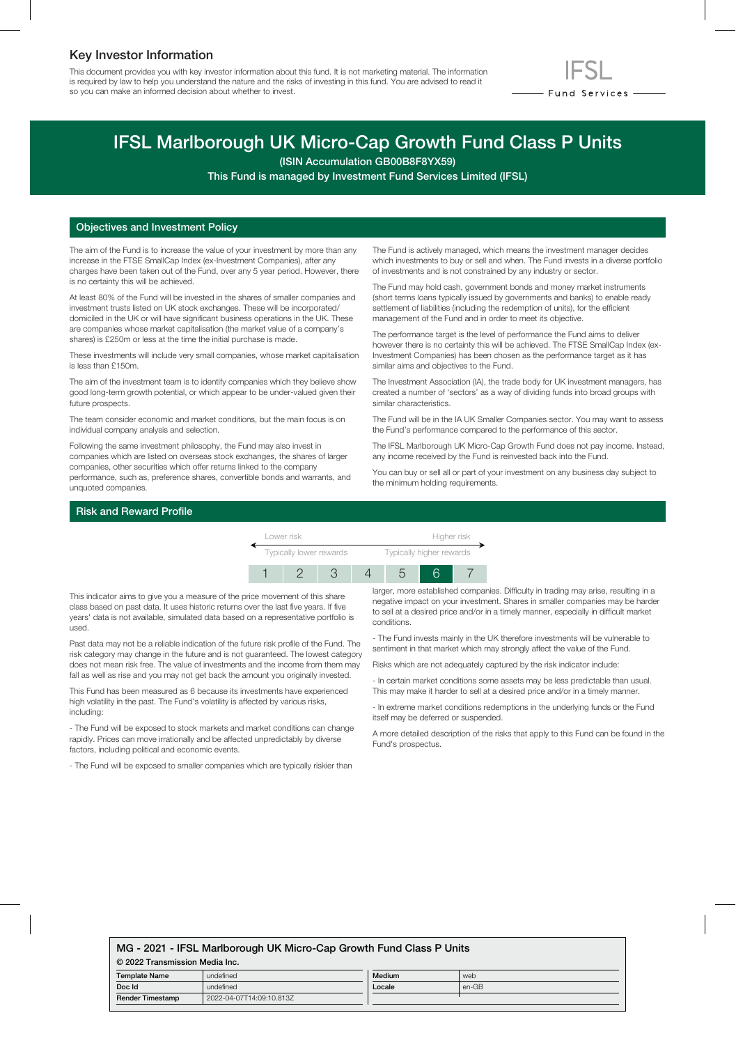## Key Investor Information

This document provides you with key investor information about this fund. It is not marketing material. The information is required by law to help you understand the nature and the risks of investing in this fund. You are advised to read it so you can make an informed decision about whether to invest.



# IFSL Marlborough UK Micro-Cap Growth Fund Class P Units

(ISIN Accumulation GB00B8F8YX59)

This Fund is managed by Investment Fund Services Limited (IFSL)

## Objectives and Investment Policy

The aim of the Fund is to increase the value of your investment by more than any increase in the FTSE SmallCap Index (ex-Investment Companies), after any charges have been taken out of the Fund, over any 5 year period. However, there is no certainty this will be achieved.

At least 80% of the Fund will be invested in the shares of smaller companies and investment trusts listed on UK stock exchanges. These will be incorporated/ domiciled in the UK or will have significant business operations in the UK. These are companies whose market capitalisation (the market value of a company's shares) is £250m or less at the time the initial purchase is made.

These investments will include very small companies, whose market capitalisation is less than £150m.

The aim of the investment team is to identify companies which they believe show good long-term growth potential, or which appear to be under-valued given their future prospects.

The team consider economic and market conditions, but the main focus is on individual company analysis and selection.

Following the same investment philosophy, the Fund may also invest in companies which are listed on overseas stock exchanges, the shares of larger companies, other securities which offer returns linked to the company performance, such as, preference shares, convertible bonds and warrants, and unquoted companies.

The Fund is actively managed, which means the investment manager decides which investments to buy or sell and when. The Fund invests in a diverse portfolio of investments and is not constrained by any industry or sector.

The Fund may hold cash, government bonds and money market instruments (short terms loans typically issued by governments and banks) to enable ready settlement of liabilities (including the redemption of units), for the efficient management of the Fund and in order to meet its objective.

The performance target is the level of performance the Fund aims to deliver however there is no certainty this will be achieved. The FTSE SmallCap Index (ex-Investment Companies) has been chosen as the performance target as it has similar aims and objectives to the Fund.

The Investment Association (IA), the trade body for UK investment managers, has created a number of 'sectors' as a way of dividing funds into broad groups with similar characteristics.

The Fund will be in the IA UK Smaller Companies sector. You may want to assess the Fund's performance compared to the performance of this sector.

The IFSL Marlborough UK Micro-Cap Growth Fund does not pay income. Instead, any income received by the Fund is reinvested back into the Fund.

You can buy or sell all or part of your investment on any business day subject to the minimum holding requirements.

## Risk and Reward Profile

Lower risk **Higher risk** Typically lower rewards Typically higher rewards 1 2 3 4 5 6 7

This indicator aims to give you a measure of the price movement of this share class based on past data. It uses historic returns over the last five years. If five years' data is not available, simulated data based on a representative portfolio is used.

Past data may not be a reliable indication of the future risk profile of the Fund. The risk category may change in the future and is not guaranteed. The lowest category does not mean risk free. The value of investments and the income from them may fall as well as rise and you may not get back the amount you originally invested.

This Fund has been measured as 6 because its investments have experienced high volatility in the past. The Fund's volatility is affected by various risks, including:

- The Fund will be exposed to stock markets and market conditions can change rapidly. Prices can move irrationally and be affected unpredictably by diverse factors, including political and economic events.

- The Fund will be exposed to smaller companies which are typically riskier than

larger, more established companies. Difficulty in trading may arise, resulting in a negative impact on your investment. Shares in smaller companies may be harder to sell at a desired price and/or in a timely manner, especially in difficult market conditions.

- The Fund invests mainly in the UK therefore investments will be vulnerable to sentiment in that market which may strongly affect the value of the Fund.

Risks which are not adequately captured by the risk indicator include:

- In certain market conditions some assets may be less predictable than usual. This may make it harder to sell at a desired price and/or in a timely manner.

- In extreme market conditions redemptions in the underlying funds or the Fund itself may be deferred or suspended.

A more detailed description of the risks that apply to this Fund can be found in the Fund's prospectus.